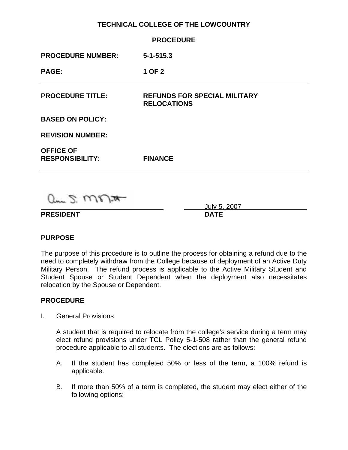## **TECHNICAL COLLEGE OF THE LOWCOUNTRY**

|                                                             | <b>PROCEDURE</b>                                          |
|-------------------------------------------------------------|-----------------------------------------------------------|
| <b>PROCEDURE NUMBER:</b>                                    | $5 - 1 - 515.3$                                           |
| <b>PAGE:</b>                                                | 1 OF 2                                                    |
| <b>PROCEDURE TITLE:</b>                                     | <b>REFUNDS FOR SPECIAL MILITARY</b><br><b>RELOCATIONS</b> |
| <b>BASED ON POLICY:</b>                                     |                                                           |
| <b>REVISION NUMBER:</b>                                     |                                                           |
| <b>OFFICE OF</b><br><b>RESPONSIBILITY:</b>                  | <b>FINANCE</b>                                            |
| the company of the company of the second<br><b>STORY OF</b> |                                                           |

 $0 - 2$   $M_{\odot}$   $\mu$ 

**PRESIDENT DATE** 

July 5, 2007

### **PURPOSE**

The purpose of this procedure is to outline the process for obtaining a refund due to the need to completely withdraw from the College because of deployment of an Active Duty Military Person. The refund process is applicable to the Active Military Student and Student Spouse or Student Dependent when the deployment also necessitates relocation by the Spouse or Dependent.

### **PROCEDURE**

I. General Provisions

A student that is required to relocate from the college's service during a term may elect refund provisions under TCL Policy 5-1-508 rather than the general refund procedure applicable to all students. The elections are as follows:

- A. If the student has completed 50% or less of the term, a 100% refund is applicable.
- B. If more than 50% of a term is completed, the student may elect either of the following options: